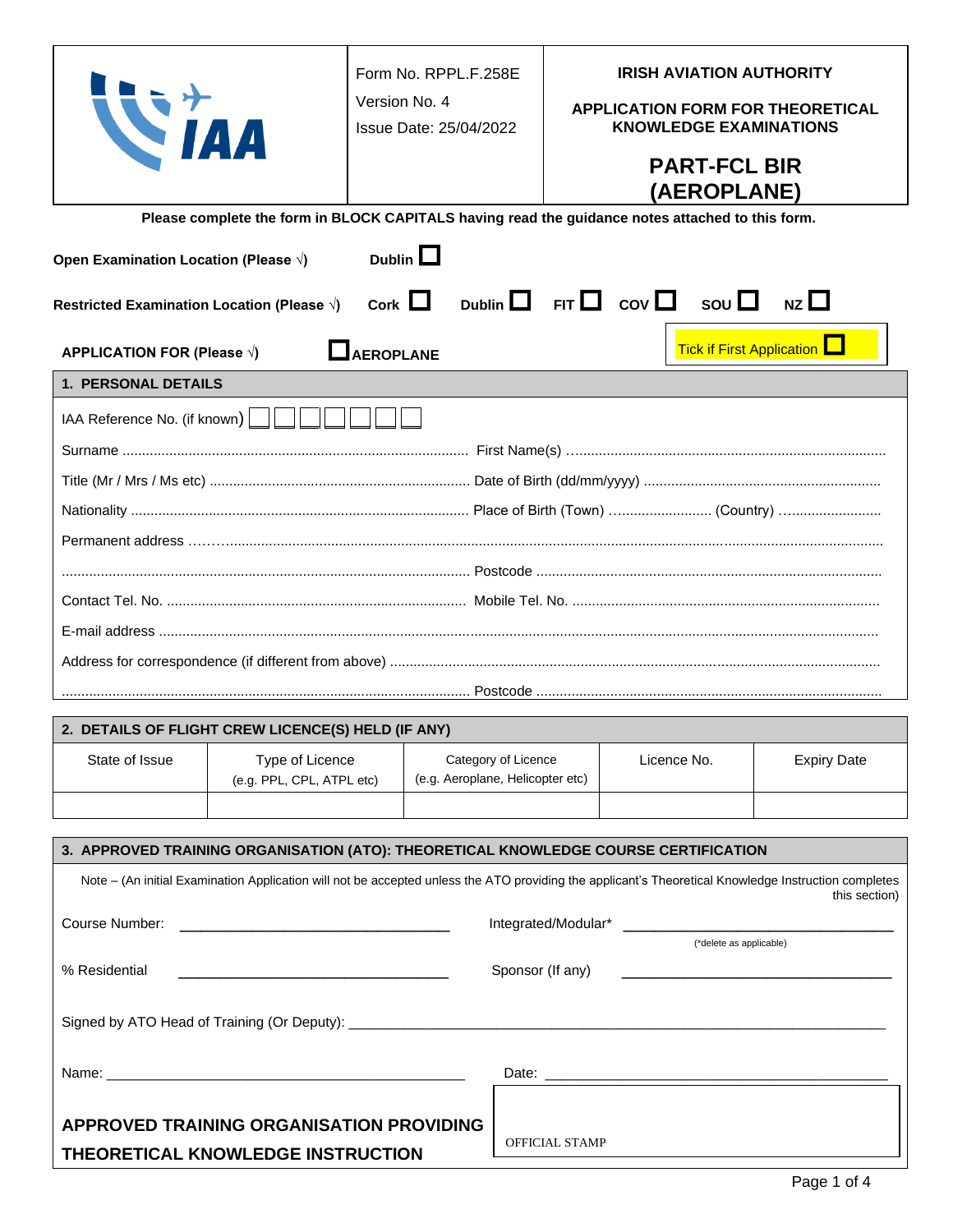|                                                                                                                                                             |                                                                                                  | Form No. RPPL.F.258E<br>Version No. 4<br>Issue Date: 25/04/2022 |                                                            | <b>IRISH AVIATION AUTHORITY</b><br><b>APPLICATION FORM FOR THEORETICAL</b><br><b>KNOWLEDGE EXAMINATIONS</b><br><b>PART-FCL BIR</b><br><b>(AEROPLANE)</b> |                         |  |                                                                                                                                                                       |  |
|-------------------------------------------------------------------------------------------------------------------------------------------------------------|--------------------------------------------------------------------------------------------------|-----------------------------------------------------------------|------------------------------------------------------------|----------------------------------------------------------------------------------------------------------------------------------------------------------|-------------------------|--|-----------------------------------------------------------------------------------------------------------------------------------------------------------------------|--|
|                                                                                                                                                             | Please complete the form in BLOCK CAPITALS having read the guidance notes attached to this form. |                                                                 |                                                            |                                                                                                                                                          |                         |  |                                                                                                                                                                       |  |
| Open Examination Location (Please $\sqrt{ }$ )                                                                                                              |                                                                                                  | Dublin $\square$                                                |                                                            |                                                                                                                                                          |                         |  |                                                                                                                                                                       |  |
| Restricted Examination Location (Please √)                                                                                                                  |                                                                                                  |                                                                 | Cork $\Box$ Dublin $\Box$ FIT $\Box$ COV $\Box$ SOU $\Box$ |                                                                                                                                                          |                         |  | nzL                                                                                                                                                                   |  |
| <b>APPLICATION FOR (Please <math>\sqrt{ }</math>)</b>                                                                                                       |                                                                                                  | <b>LAEROPLANE</b>                                               |                                                            |                                                                                                                                                          |                         |  | <b>Tick if First Application</b> L                                                                                                                                    |  |
| 1. PERSONAL DETAILS                                                                                                                                         |                                                                                                  |                                                                 |                                                            |                                                                                                                                                          |                         |  |                                                                                                                                                                       |  |
| IAA Reference No. (if known)                                                                                                                                |                                                                                                  |                                                                 |                                                            |                                                                                                                                                          |                         |  |                                                                                                                                                                       |  |
|                                                                                                                                                             |                                                                                                  |                                                                 |                                                            |                                                                                                                                                          |                         |  |                                                                                                                                                                       |  |
|                                                                                                                                                             |                                                                                                  |                                                                 |                                                            |                                                                                                                                                          |                         |  |                                                                                                                                                                       |  |
|                                                                                                                                                             |                                                                                                  |                                                                 |                                                            |                                                                                                                                                          |                         |  |                                                                                                                                                                       |  |
|                                                                                                                                                             |                                                                                                  |                                                                 |                                                            |                                                                                                                                                          |                         |  |                                                                                                                                                                       |  |
|                                                                                                                                                             |                                                                                                  |                                                                 |                                                            |                                                                                                                                                          |                         |  |                                                                                                                                                                       |  |
|                                                                                                                                                             |                                                                                                  |                                                                 |                                                            |                                                                                                                                                          |                         |  |                                                                                                                                                                       |  |
|                                                                                                                                                             |                                                                                                  |                                                                 |                                                            |                                                                                                                                                          |                         |  |                                                                                                                                                                       |  |
|                                                                                                                                                             |                                                                                                  |                                                                 |                                                            |                                                                                                                                                          |                         |  |                                                                                                                                                                       |  |
|                                                                                                                                                             |                                                                                                  |                                                                 |                                                            |                                                                                                                                                          |                         |  |                                                                                                                                                                       |  |
| 2. DETAILS OF FLIGHT CREW LICENCE(S) HELD (IF ANY)                                                                                                          |                                                                                                  |                                                                 |                                                            |                                                                                                                                                          |                         |  |                                                                                                                                                                       |  |
| State of Issue                                                                                                                                              | Type of Licence<br>(e.g. PPL, CPL, ATPL etc)                                                     |                                                                 | Category of Licence<br>(e.g. Aeroplane, Helicopter etc)    |                                                                                                                                                          | Licence No.             |  | <b>Expiry Date</b>                                                                                                                                                    |  |
|                                                                                                                                                             |                                                                                                  |                                                                 |                                                            |                                                                                                                                                          |                         |  |                                                                                                                                                                       |  |
| 3. APPROVED TRAINING ORGANISATION (ATO): THEORETICAL KNOWLEDGE COURSE CERTIFICATION                                                                         |                                                                                                  |                                                                 |                                                            |                                                                                                                                                          |                         |  |                                                                                                                                                                       |  |
|                                                                                                                                                             |                                                                                                  |                                                                 |                                                            |                                                                                                                                                          |                         |  | Note - (An initial Examination Application will not be accepted unless the ATO providing the applicant's Theoretical Knowledge Instruction completes<br>this section) |  |
| Course Number:<br><u> 1990 - Johann Harry Harry Harry Harry Harry Harry Harry Harry Harry Harry Harry Harry Harry Harry Harry Harry</u>                     |                                                                                                  |                                                                 |                                                            |                                                                                                                                                          | (*delete as applicable) |  |                                                                                                                                                                       |  |
| % Residential<br>Sponsor (If any)<br><u> 1989 - Johann John Stone, mars et al. 1989 - John Stone, mars et al. 1989 - John Stone, mars et al. 1989 - Joh</u> |                                                                                                  |                                                                 |                                                            |                                                                                                                                                          |                         |  |                                                                                                                                                                       |  |
|                                                                                                                                                             |                                                                                                  |                                                                 |                                                            |                                                                                                                                                          |                         |  |                                                                                                                                                                       |  |
|                                                                                                                                                             |                                                                                                  |                                                                 |                                                            |                                                                                                                                                          |                         |  |                                                                                                                                                                       |  |
| <b>APPROVED TRAINING ORGANISATION PROVIDING</b><br><b>OFFICIAL STAMP</b>                                                                                    |                                                                                                  |                                                                 |                                                            |                                                                                                                                                          |                         |  |                                                                                                                                                                       |  |
| THEORETICAL KNOWLEDGE INSTRUCTION                                                                                                                           |                                                                                                  |                                                                 |                                                            |                                                                                                                                                          |                         |  |                                                                                                                                                                       |  |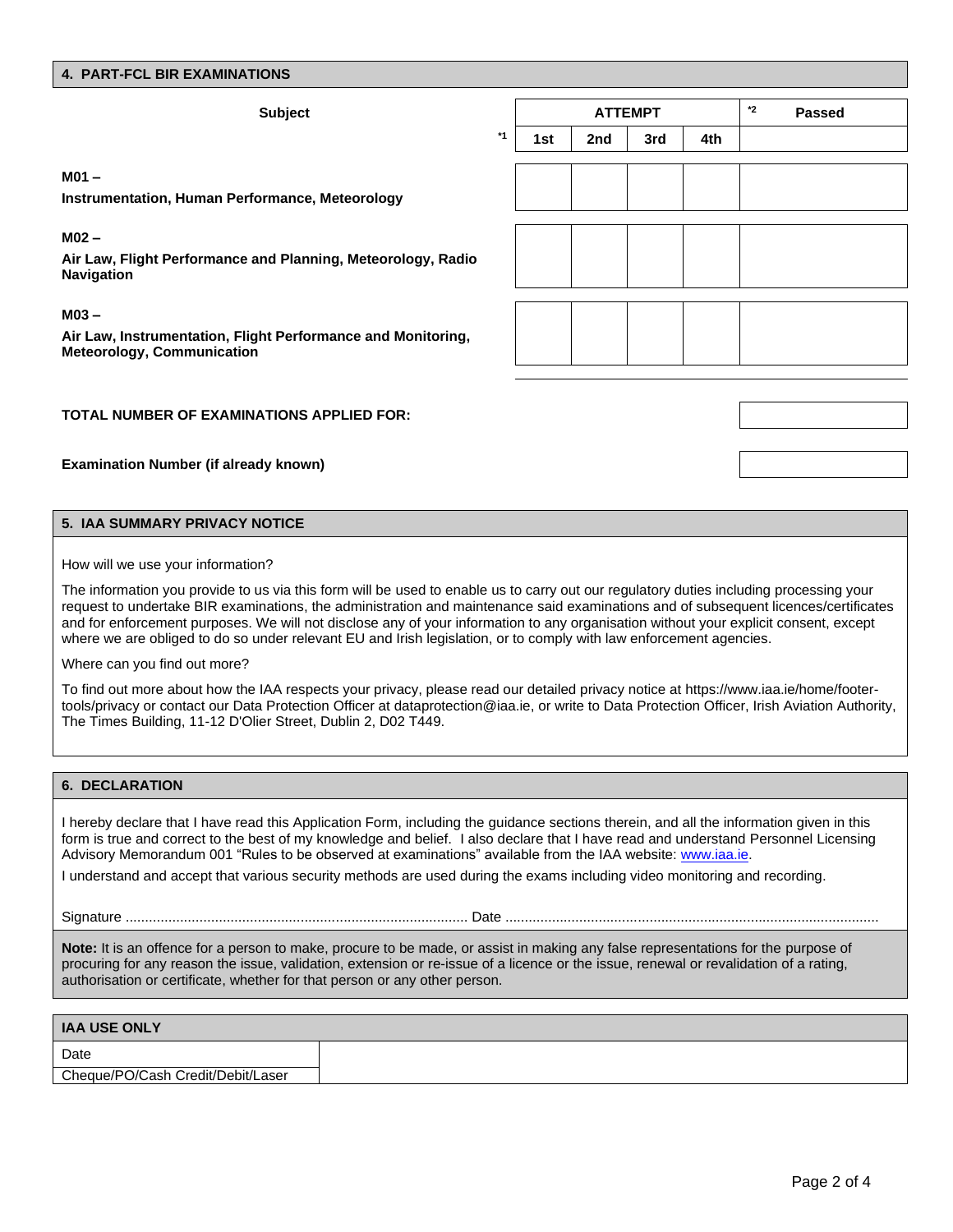### **4. PART-FCL BIR EXAMINATIONS**

| <b>Subject</b>                                                                                                       |      |     | <b>ATTEMPT</b> |     | *2<br><b>Passed</b> |  |
|----------------------------------------------------------------------------------------------------------------------|------|-----|----------------|-----|---------------------|--|
|                                                                                                                      | $*1$ | 1st | 2nd            | 3rd | 4th                 |  |
| M <sub>01</sub>                                                                                                      |      |     |                |     |                     |  |
| <b>Instrumentation, Human Performance, Meteorology</b>                                                               |      |     |                |     |                     |  |
| M <sub>02</sub><br>Air Law, Flight Performance and Planning, Meteorology, Radio<br><b>Navigation</b>                 |      |     |                |     |                     |  |
| M <sub>03</sub><br>Air Law, Instrumentation, Flight Performance and Monitoring,<br><b>Meteorology, Communication</b> |      |     |                |     |                     |  |

**TOTAL NUMBER OF EXAMINATIONS APPLIED FOR:**

**Examination Number (if already known)**

#### **5. IAA SUMMARY PRIVACY NOTICE**

How will we use your information?

The information you provide to us via this form will be used to enable us to carry out our regulatory duties including processing your request to undertake BIR examinations, the administration and maintenance said examinations and of subsequent licences/certificates and for enforcement purposes. We will not disclose any of your information to any organisation without your explicit consent, except where we are obliged to do so under relevant EU and Irish legislation, or to comply with law enforcement agencies.

Where can you find out more?

To find out more about how the IAA respects your privacy, please read our detailed privacy notice at [https://www.iaa.ie/home/footer](https://www.iaa.ie/home/footer-tools/privacy)[tools/privacy](https://www.iaa.ie/home/footer-tools/privacy) or contact our Data Protection Officer at [dataprotection@iaa.ie,](mailto:dataprotection@iaa.ie) or write to Data Protection Officer, Irish Aviation Authority, The Times Building, 11-12 D'Olier Street, Dublin 2, D02 T449.

#### **6. DECLARATION**

I hereby declare that I have read this Application Form, including the guidance sections therein, and all the information given in this form is true and correct to the best of my knowledge and belief. I also declare that I have read and understand Personnel Licensing Advisory Memorandum 001 "Rules to be observed at examinations" available from the IAA website[: www.iaa.ie.](https://www.iaa.ie/publications/docs/default-source/publications/advisory-memoranda/personnel-licensing-advisory-memoranda-(plam)/rules-to-be-observed-at-theoretical-knowledge-examinations)

I understand and accept that various security methods are used during the exams including video monitoring and recording.

Signature ........................................................................................ Date ................................................................................................

**Note:** It is an offence for a person to make, procure to be made, or assist in making any false representations for the purpose of procuring for any reason the issue, validation, extension or re-issue of a licence or the issue, renewal or revalidation of a rating, authorisation or certificate, whether for that person or any other person.

| <b>IAA USE ONLY</b>               |  |
|-----------------------------------|--|
| Date                              |  |
| Cheque/PO/Cash Credit/Debit/Laser |  |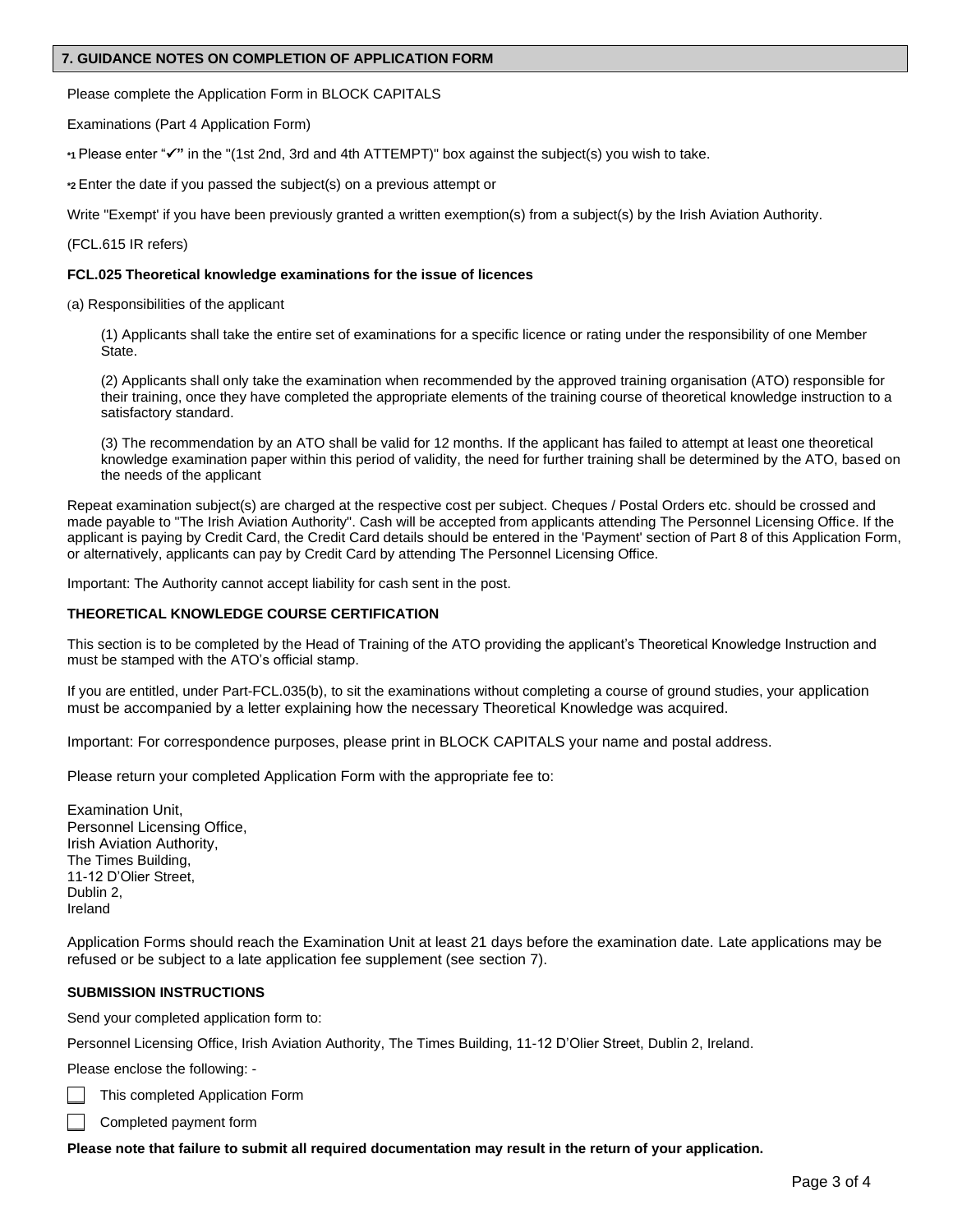## **7. GUIDANCE NOTES ON COMPLETION OF APPLICATION FORM**

Please complete the Application Form in BLOCK CAPITALS

Examinations (Part 4 Application Form)

**\*1** Please enter "✓**"** in the "(1st 2nd, 3rd and 4th ATTEMPT)" box against the subject(s) you wish to take.

**\*2** Enter the date if you passed the subject(s) on a previous attempt or

Write "Exempt' if you have been previously granted a written exemption(s) from a subject(s) by the Irish Aviation Authority.

(FCL.615 IR refers)

## **FCL.025 Theoretical knowledge examinations for the issue of licences**

(a) Responsibilities of the applicant

(1) Applicants shall take the entire set of examinations for a specific licence or rating under the responsibility of one Member State.

(2) Applicants shall only take the examination when recommended by the approved training organisation (ATO) responsible for their training, once they have completed the appropriate elements of the training course of theoretical knowledge instruction to a satisfactory standard.

(3) The recommendation by an ATO shall be valid for 12 months. If the applicant has failed to attempt at least one theoretical knowledge examination paper within this period of validity, the need for further training shall be determined by the ATO, based on the needs of the applicant

Repeat examination subject(s) are charged at the respective cost per subject. Cheques / Postal Orders etc. should be crossed and made payable to "The Irish Aviation Authority". Cash will be accepted from applicants attending The Personnel Licensing Office. If the applicant is paying by Credit Card, the Credit Card details should be entered in the 'Payment' section of Part 8 of this Application Form, or alternatively, applicants can pay by Credit Card by attending The Personnel Licensing Office.

Important: The Authority cannot accept liability for cash sent in the post.

# **THEORETICAL KNOWLEDGE COURSE CERTIFICATION**

This section is to be completed by the Head of Training of the ATO providing the applicant's Theoretical Knowledge Instruction and must be stamped with the ATO's official stamp.

If you are entitled, under Part-FCL.035(b), to sit the examinations without completing a course of ground studies, your application must be accompanied by a letter explaining how the necessary Theoretical Knowledge was acquired.

Important: For correspondence purposes, please print in BLOCK CAPITALS your name and postal address.

Please return your completed Application Form with the appropriate fee to:

Examination Unit, Personnel Licensing Office, Irish Aviation Authority, The Times Building, 11-12 D'Olier Street, Dublin 2, Ireland

Application Forms should reach the Examination Unit at least 21 days before the examination date. Late applications may be refused or be subject to a late application fee supplement (see section 7).

## **SUBMISSION INSTRUCTIONS**

Send your completed application form to:

Personnel Licensing Office, Irish Aviation Authority, The Times Building, 11-12 D'Olier Street, Dublin 2, Ireland.

Please enclose the following: -

This completed Application Form

\_\_ Completed payment form

**Please note that failure to submit all required documentation may result in the return of your application.**